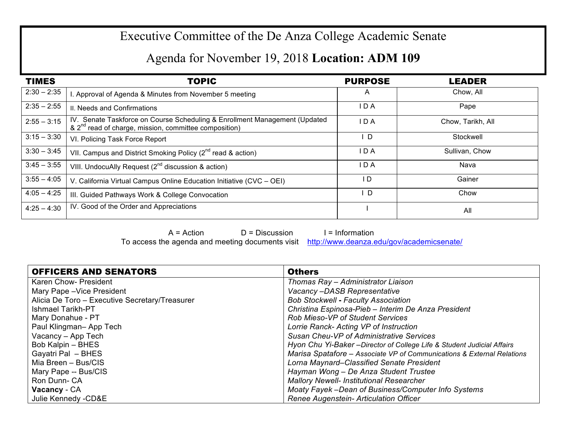## Executive Committee of the De Anza College Academic Senate

## Agenda for November 19, 2018 **Location: ADM 109**

| <b>TIMES</b>  | <b>TOPIC</b>                                                                                                                                    | <b>PURPOSE</b> | <b>LEADER</b>     |
|---------------|-------------------------------------------------------------------------------------------------------------------------------------------------|----------------|-------------------|
| $2:30 - 2:35$ | . Approval of Agenda & Minutes from November 5 meeting                                                                                          | A              | Chow, All         |
| $2:35 - 2:55$ | II. Needs and Confirmations                                                                                                                     | I D A          | Pape              |
| $2:55 - 3:15$ | IV. Senate Taskforce on Course Scheduling & Enrollment Management (Updated<br>& 2 <sup>nd</sup> read of charge, mission, committee composition) | I D A          | Chow, Tarikh, All |
| $3:15 - 3:30$ | VI. Policing Task Force Report                                                                                                                  | - D            | Stockwell         |
| $3:30 - 3:45$ | VII. Campus and District Smoking Policy $(2^{nd}$ read & action)                                                                                | I D A          | Sullivan, Chow    |
| $3:45 - 3:55$ | VIII. UndocuAlly Request $(2^{nd}$ discussion & action)                                                                                         | I D A          | Nava              |
| $3:55 - 4:05$ | V. California Virtual Campus Online Education Initiative (CVC - OEI)                                                                            | l D            | Gainer            |
| $4:05 - 4:25$ | III. Guided Pathways Work & College Convocation                                                                                                 | D              | Chow              |
| $4:25 - 4:30$ | IV. Good of the Order and Appreciations                                                                                                         |                | All               |

 $A = Action$   $D = Discussion$  I = Information To access the agenda and meeting documents visit http://www.deanza.edu/gov/academicsenate/

| <b>OFFICERS AND SENATORS</b>                   | <b>Others</b>                                                           |
|------------------------------------------------|-------------------------------------------------------------------------|
| Karen Chow- President                          | Thomas Ray - Administrator Liaison                                      |
| Mary Pape - Vice President                     | Vacancy-DASB Representative                                             |
| Alicia De Toro - Executive Secretary/Treasurer | <b>Bob Stockwell - Faculty Association</b>                              |
| Ishmael Tarikh-PT                              | Christina Espinosa-Pieb - Interim De Anza President                     |
| Mary Donahue - PT                              | <b>Rob Mieso-VP of Student Services</b>                                 |
| Paul Klingman-App Tech                         | Lorrie Ranck- Acting VP of Instruction                                  |
| Vacancy - App Tech                             | Susan Cheu-VP of Administrative Services                                |
| Bob Kalpin - BHES                              | Hyon Chu Yi-Baker - Director of College Life & Student Judicial Affairs |
| Gayatri Pal - BHES                             | Marisa Spatafore - Associate VP of Communications & External Relations  |
| Mia Breen – Bus/CIS                            | Lorna Maynard-Classified Senate President                               |
| Mary Pape -- Bus/CIS                           | Hayman Wong - De Anza Student Trustee                                   |
| Ron Dunn- CA                                   | <b>Mallory Newell- Institutional Researcher</b>                         |
| <b>Vacancy</b> - CA                            | Moaty Fayek -Dean of Business/Computer Info Systems                     |
| Julie Kennedy -CD&E                            | Renee Augenstein- Articulation Officer                                  |